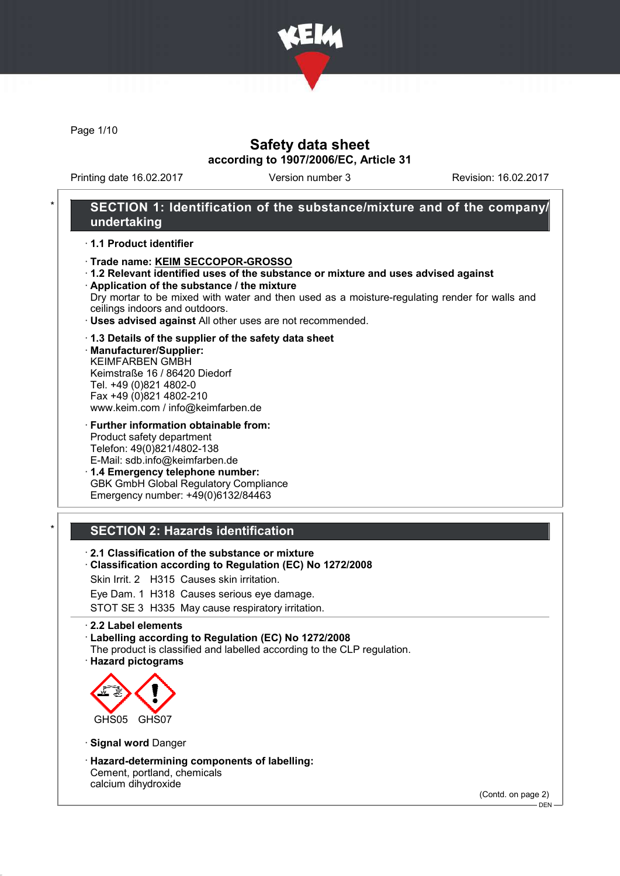

Page 1/10

## Safety data sheet according to 1907/2006/EC, Article 31

Printing date 16.02.2017 Version number 3 Revision: 16.02.2017

## SECTION 1: Identification of the substance/mixture and of the company/ undertaking

#### · 1.1 Product identifier

#### · Trade name: KEIM SECCOPOR-GROSSO

· 1.2 Relevant identified uses of the substance or mixture and uses advised against · Application of the substance / the mixture

Dry mortar to be mixed with water and then used as a moisture-regulating render for walls and ceilings indoors and outdoors.

· Uses advised against All other uses are not recommended.

#### · 1.3 Details of the supplier of the safety data sheet

· Manufacturer/Supplier: KEIMFARBEN GMBH Keimstraße 16 / 86420 Diedorf Tel. +49 (0)821 4802-0 Fax +49 (0)821 4802-210 www.keim.com / info@keimfarben.de

· Further information obtainable from: Product safety department Telefon: 49(0)821/4802-138 E-Mail: sdb.info@keimfarben.de

· 1.4 Emergency telephone number: GBK GmbH Global Regulatory Compliance Emergency number: +49(0)6132/84463

### **SECTION 2: Hazards identification**

- · 2.1 Classification of the substance or mixture
- · Classification according to Regulation (EC) No 1272/2008
- Skin Irrit. 2 H315 Causes skin irritation.
- Eye Dam. 1 H318 Causes serious eye damage.

STOT SE 3 H335 May cause respiratory irritation.

#### · 2.2 Label elements

· Labelling according to Regulation (EC) No 1272/2008

- The product is classified and labelled according to the CLP regulation.
- · Hazard pictograms



- · Signal word Danger
- · Hazard-determining components of labelling: Cement, portland, chemicals calcium dihydroxide

(Contd. on page 2)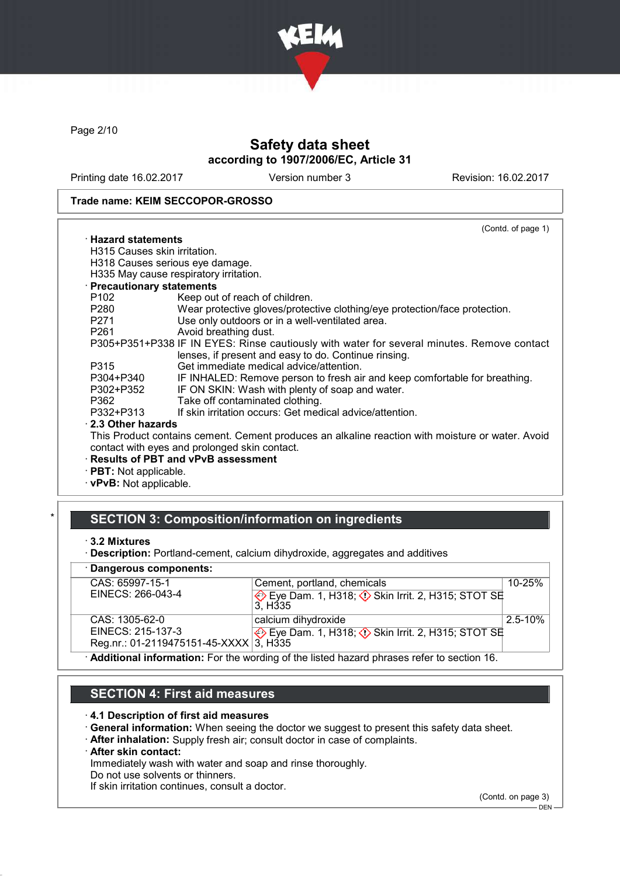

Page 2/10

# Safety data sheet according to 1907/2006/EC, Article 31

Printing date 16.02.2017 Version number 3 Revision: 16.02.2017

#### Trade name: KEIM SECCOPOR-GROSSO

|                                                                                                                | (Contd. of page 1)                                                                               |
|----------------------------------------------------------------------------------------------------------------|--------------------------------------------------------------------------------------------------|
| $\cdot$ Hazard statements                                                                                      |                                                                                                  |
| H315 Causes skin irritation.                                                                                   |                                                                                                  |
|                                                                                                                | H318 Causes serious eye damage.                                                                  |
|                                                                                                                | H335 May cause respiratory irritation.                                                           |
| · Precautionary statements                                                                                     |                                                                                                  |
| P102                                                                                                           | Keep out of reach of children.                                                                   |
| P280                                                                                                           | Wear protective gloves/protective clothing/eye protection/face protection.                       |
| P271                                                                                                           | Use only outdoors or in a well-ventilated area.                                                  |
| P261 and the P261 and the P261 and the P261 and the P261 and the P261 and the P261 and the P261 and P261 and P | Avoid breathing dust.                                                                            |
|                                                                                                                | P305+P351+P338 IF IN EYES: Rinse cautiously with water for several minutes. Remove contact       |
|                                                                                                                | lenses, if present and easy to do. Continue rinsing.                                             |
| P315                                                                                                           | Get immediate medical advice/attention.                                                          |
| P304+P340                                                                                                      | IF INHALED: Remove person to fresh air and keep comfortable for breathing.                       |
| P302+P352                                                                                                      | IF ON SKIN: Wash with plenty of soap and water.                                                  |
| P362                                                                                                           | Take off contaminated clothing.                                                                  |
| P332+P313                                                                                                      | If skin irritation occurs: Get medical advice/attention.                                         |
| $\cdot$ 2.3 Other hazards                                                                                      |                                                                                                  |
|                                                                                                                | This Product contains cement. Cement produces an alkaline reaction with moisture or water. Avoid |
|                                                                                                                | contact with eyes and prolonged skin contact.                                                    |
|                                                                                                                | <b>Results of PBT and vPvB assessment</b>                                                        |
| · <b>PBT:</b> Not applicable.                                                                                  |                                                                                                  |

· vPvB: Not applicable.

## SECTION 3: Composition/information on ingredients

<sup>·</sup> Description: Portland-cement, calcium dihydroxide, aggregates and additives

| · Dangerous components:                                                                     |                                                           |              |
|---------------------------------------------------------------------------------------------|-----------------------------------------------------------|--------------|
| CAS: 65997-15-1                                                                             | Cement, portland, chemicals                               | $10 - 25%$   |
| EINECS: 266-043-4                                                                           | 3. H <sub>335</sub>                                       |              |
| CAS: 1305-62-0                                                                              | calcium dihydroxide                                       | $2.5 - 10\%$ |
| EINECS: 215-137-3                                                                           | Eye Dam. 1, H318; $\Diamond$ Skin Irrit. 2, H315; STOT SE |              |
| Reg.nr.: 01-2119475151-45-XXXX $3$ , H335                                                   |                                                           |              |
| . Additional information: Ear the wording of the listed because phrases refer to section 16 |                                                           |              |

· Additional information: For the wording of the listed hazard phrases refer to section 16.

# SECTION 4: First aid measures

#### · 4.1 Description of first aid measures

- · General information: When seeing the doctor we suggest to present this safety data sheet.
- · After inhalation: Supply fresh air; consult doctor in case of complaints.

### · After skin contact:

Immediately wash with water and soap and rinse thoroughly.

Do not use solvents or thinners.

If skin irritation continues, consult a doctor.

(Contd. on page 3)

<sup>·</sup> 3.2 Mixtures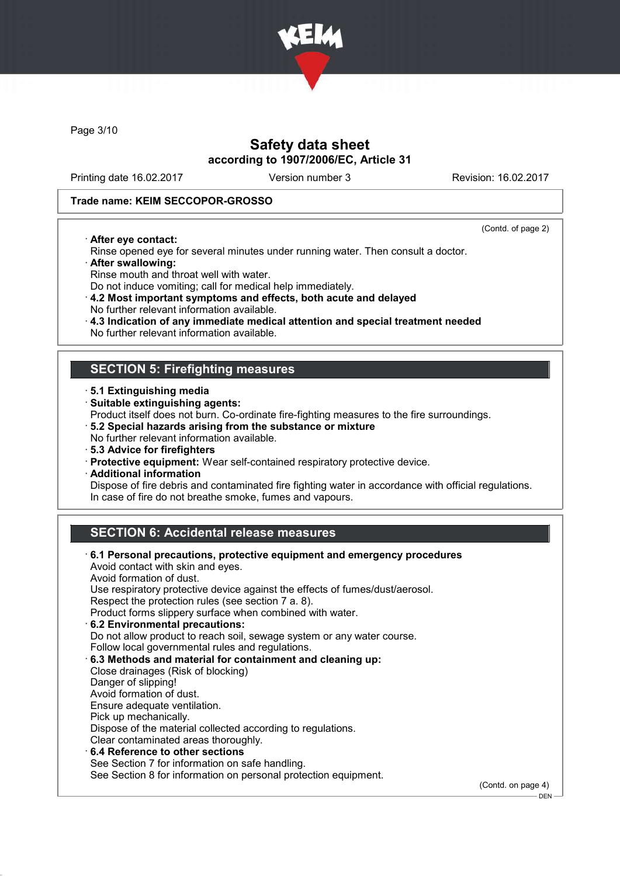

Page 3/10

## Safety data sheet according to 1907/2006/EC, Article 31

Printing date 16.02.2017 Version number 3 Revision: 16.02.2017

.<br>– DEN -

### Trade name: KEIM SECCOPOR-GROSSO

· After eye contact:

(Contd. of page 2)

- Rinse opened eye for several minutes under running water. Then consult a doctor. · After swallowing:
- Rinse mouth and throat well with water.
- Do not induce vomiting; call for medical help immediately.
- · 4.2 Most important symptoms and effects, both acute and delayed No further relevant information available.
- · 4.3 Indication of any immediate medical attention and special treatment needed
- No further relevant information available.

### SECTION 5: Firefighting measures

- · 5.1 Extinguishing media
- · Suitable extinguishing agents:
- Product itself does not burn. Co-ordinate fire-fighting measures to the fire surroundings.
- · 5.2 Special hazards arising from the substance or mixture
- No further relevant information available.
- · 5.3 Advice for firefighters
- · Protective equipment: Wear self-contained respiratory protective device.
- · Additional information

Dispose of fire debris and contaminated fire fighting water in accordance with official regulations. In case of fire do not breathe smoke, fumes and vapours.

## SECTION 6: Accidental release measures

| 6.1 Personal precautions, protective equipment and emergency procedures<br>Avoid contact with skin and eyes. |                    |
|--------------------------------------------------------------------------------------------------------------|--------------------|
| Avoid formation of dust.                                                                                     |                    |
| Use respiratory protective device against the effects of fumes/dust/aerosol.                                 |                    |
| Respect the protection rules (see section 7 a. 8).                                                           |                    |
| Product forms slippery surface when combined with water.                                                     |                    |
| 6.2 Environmental precautions:                                                                               |                    |
| Do not allow product to reach soil, sewage system or any water course.                                       |                    |
| Follow local governmental rules and regulations.                                                             |                    |
| 6.3 Methods and material for containment and cleaning up:                                                    |                    |
| Close drainages (Risk of blocking)                                                                           |                    |
| Danger of slipping!                                                                                          |                    |
| Avoid formation of dust.                                                                                     |                    |
| Ensure adequate ventilation.                                                                                 |                    |
| Pick up mechanically.                                                                                        |                    |
| Dispose of the material collected according to regulations.                                                  |                    |
| Clear contaminated areas thoroughly.                                                                         |                    |
| $\cdot$ 6.4 Reference to other sections                                                                      |                    |
| See Section 7 for information on safe handling.                                                              |                    |
| See Section 8 for information on personal protection equipment.                                              |                    |
|                                                                                                              | (Contd. on page 4) |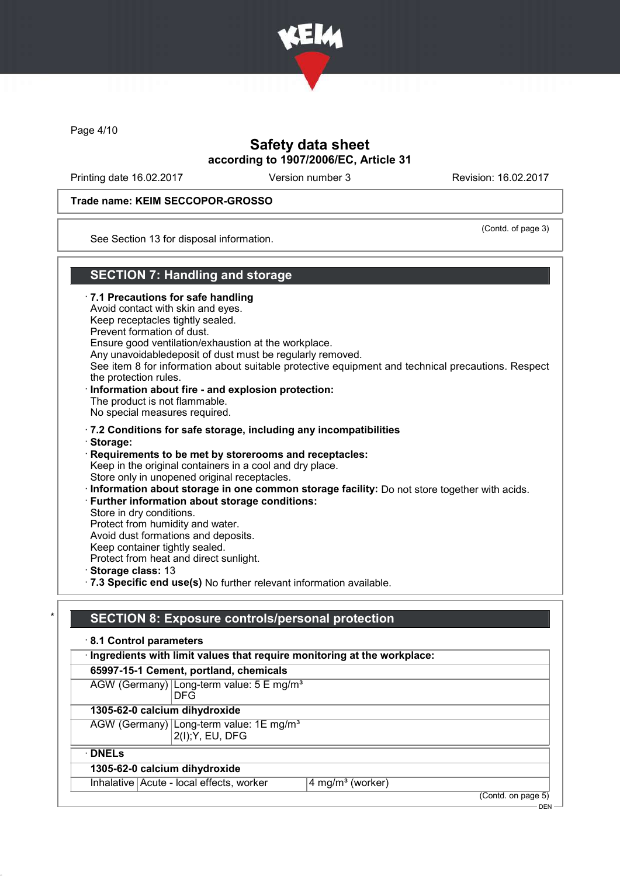

Page 4/10

## Safety data sheet according to 1907/2006/EC, Article 31

Printing date 16.02.2017 Version number 3 Revision: 16.02.2017

### Trade name: KEIM SECCOPOR-GROSSO

(Contd. of page 3)

 $-$  DEN

See Section 13 for disposal information.

## SECTION 7: Handling and storage

· 7.1 Precautions for safe handling Avoid contact with skin and eyes. Keep receptacles tightly sealed. Prevent formation of dust. Ensure good ventilation/exhaustion at the workplace. Any unavoidabledeposit of dust must be regularly removed. See item 8 for information about suitable protective equipment and technical precautions. Respect the protection rules. · Information about fire - and explosion protection: The product is not flammable. No special measures required. · 7.2 Conditions for safe storage, including any incompatibilities · Storage: · Requirements to be met by storerooms and receptacles: Keep in the original containers in a cool and dry place. Store only in unopened original receptacles. · Information about storage in one common storage facility: Do not store together with acids. · Further information about storage conditions: Store in dry conditions. Protect from humidity and water. Avoid dust formations and deposits. Keep container tightly sealed. Protect from heat and direct sunlight. · Storage class: 13 · 7.3 Specific end use(s) No further relevant information available.

# SECTION 8: Exposure controls/personal protection

| · Ingredients with limit values that require monitoring at the workplace: |                              |
|---------------------------------------------------------------------------|------------------------------|
| 65997-15-1 Cement, portland, chemicals                                    |                              |
| AGW (Germany) Long-term value: 5 E mg/m <sup>3</sup><br><b>DFG</b>        |                              |
| 1305-62-0 calcium dihydroxide                                             |                              |
| AGW (Germany) Long-term value: 1E mg/m <sup>3</sup><br>2(I); Y, EU, DFG   |                              |
| $\cdot$ DNELs                                                             |                              |
| 1305-62-0 calcium dihydroxide                                             |                              |
| Inhalative Acute - local effects, worker                                  | 4 mg/m <sup>3</sup> (worker) |
|                                                                           | (Contd. on page 5)           |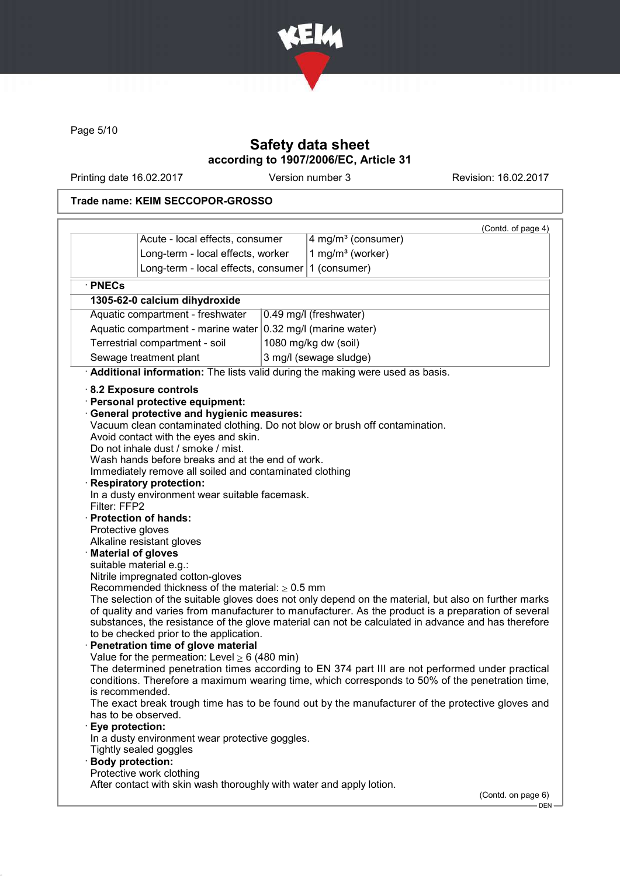

Page 5/10

# Safety data sheet according to 1907/2006/EC, Article 31

Printing date 16.02.2017 Version number 3 Revision: 16.02.2017

## Trade name: KEIM SECCOPOR-GROSSO

|                                                                                                                            |                                                                                                                                                                                                                                                                                                                                                                                                                                                                                                                                                                                                                                                                                                                                                |                        | (Contd. of page 4)                                                                                                                                                                                                                                                                                                                                                                                                                                                                                                                                                                                                                                                                                          |
|----------------------------------------------------------------------------------------------------------------------------|------------------------------------------------------------------------------------------------------------------------------------------------------------------------------------------------------------------------------------------------------------------------------------------------------------------------------------------------------------------------------------------------------------------------------------------------------------------------------------------------------------------------------------------------------------------------------------------------------------------------------------------------------------------------------------------------------------------------------------------------|------------------------|-------------------------------------------------------------------------------------------------------------------------------------------------------------------------------------------------------------------------------------------------------------------------------------------------------------------------------------------------------------------------------------------------------------------------------------------------------------------------------------------------------------------------------------------------------------------------------------------------------------------------------------------------------------------------------------------------------------|
|                                                                                                                            | Acute - local effects, consumer                                                                                                                                                                                                                                                                                                                                                                                                                                                                                                                                                                                                                                                                                                                |                        | 4 mg/m <sup>3</sup> (consumer)                                                                                                                                                                                                                                                                                                                                                                                                                                                                                                                                                                                                                                                                              |
|                                                                                                                            | Long-term - local effects, worker                                                                                                                                                                                                                                                                                                                                                                                                                                                                                                                                                                                                                                                                                                              |                        | 1 mg/m $3$ (worker)                                                                                                                                                                                                                                                                                                                                                                                                                                                                                                                                                                                                                                                                                         |
|                                                                                                                            | Long-term - local effects, consumer                                                                                                                                                                                                                                                                                                                                                                                                                                                                                                                                                                                                                                                                                                            |                        | 1 (consumer)                                                                                                                                                                                                                                                                                                                                                                                                                                                                                                                                                                                                                                                                                                |
| · PNECs                                                                                                                    |                                                                                                                                                                                                                                                                                                                                                                                                                                                                                                                                                                                                                                                                                                                                                |                        |                                                                                                                                                                                                                                                                                                                                                                                                                                                                                                                                                                                                                                                                                                             |
|                                                                                                                            | 1305-62-0 calcium dihydroxide                                                                                                                                                                                                                                                                                                                                                                                                                                                                                                                                                                                                                                                                                                                  |                        |                                                                                                                                                                                                                                                                                                                                                                                                                                                                                                                                                                                                                                                                                                             |
|                                                                                                                            | Aquatic compartment - freshwater                                                                                                                                                                                                                                                                                                                                                                                                                                                                                                                                                                                                                                                                                                               |                        | 0.49 mg/l (freshwater)                                                                                                                                                                                                                                                                                                                                                                                                                                                                                                                                                                                                                                                                                      |
|                                                                                                                            | Aquatic compartment - marine water                                                                                                                                                                                                                                                                                                                                                                                                                                                                                                                                                                                                                                                                                                             |                        | 0.32 mg/l (marine water)                                                                                                                                                                                                                                                                                                                                                                                                                                                                                                                                                                                                                                                                                    |
|                                                                                                                            | Terrestrial compartment - soil                                                                                                                                                                                                                                                                                                                                                                                                                                                                                                                                                                                                                                                                                                                 |                        | 1080 mg/kg dw (soil)                                                                                                                                                                                                                                                                                                                                                                                                                                                                                                                                                                                                                                                                                        |
| Sewage treatment plant                                                                                                     |                                                                                                                                                                                                                                                                                                                                                                                                                                                                                                                                                                                                                                                                                                                                                | 3 mg/l (sewage sludge) |                                                                                                                                                                                                                                                                                                                                                                                                                                                                                                                                                                                                                                                                                                             |
| Additional information: The lists valid during the making were used as basis.                                              |                                                                                                                                                                                                                                                                                                                                                                                                                                                                                                                                                                                                                                                                                                                                                |                        |                                                                                                                                                                                                                                                                                                                                                                                                                                                                                                                                                                                                                                                                                                             |
| Filter: FFP2<br>Protective gloves<br>is recommended.<br>Eye protection:<br>In a dusty environment wear protective goggles. | Personal protective equipment:<br><b>General protective and hygienic measures:</b><br>Avoid contact with the eyes and skin.<br>Do not inhale dust / smoke / mist.<br>Wash hands before breaks and at the end of work.<br>Immediately remove all soiled and contaminated clothing<br><b>Respiratory protection:</b><br>In a dusty environment wear suitable facemask.<br>· Protection of hands:<br>Alkaline resistant gloves<br><b>Material of gloves</b><br>suitable material e.g.:<br>Nitrile impregnated cotton-gloves<br>Recommended thickness of the material: $\geq 0.5$ mm<br>to be checked prior to the application.<br>Penetration time of glove material<br>Value for the permeation: Level $\geq 6$ (480 min)<br>has to be observed. |                        | Vacuum clean contaminated clothing. Do not blow or brush off contamination.<br>The selection of the suitable gloves does not only depend on the material, but also on further marks<br>of quality and varies from manufacturer to manufacturer. As the product is a preparation of several<br>substances, the resistance of the glove material can not be calculated in advance and has therefore<br>The determined penetration times according to EN 374 part III are not performed under practical<br>conditions. Therefore a maximum wearing time, which corresponds to 50% of the penetration time,<br>The exact break trough time has to be found out by the manufacturer of the protective gloves and |

- DEN -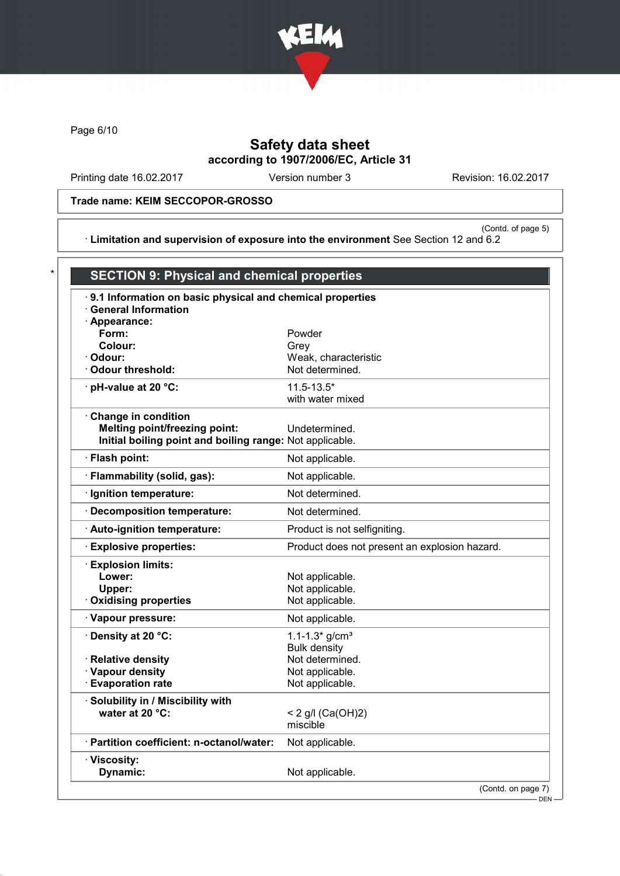

Page 6/10

# Safety data sheet according to 1907/2006/EC, Article 31

Printing date 16.02.2017 Version number 3 Revision: 16.02.2017

Trade name: KEIM SECCOPOR-GROSSO

(Contd. of page 5) · Limitation and supervision of exposure into the environment See Section 12 and 6.2

| .9.1 Information on basic physical and chemical properties |                                               |
|------------------------------------------------------------|-----------------------------------------------|
| · General Information                                      |                                               |
| · Appearance:                                              |                                               |
| Form:                                                      | Powder                                        |
| Colour:                                                    | Grev                                          |
| · Odour:                                                   | Weak, characteristic                          |
| Odour threshold:                                           | Not determined.                               |
| · pH-value at 20 °C:                                       | $11.5 - 13.5*$                                |
|                                                            | with water mixed                              |
| Change in condition                                        |                                               |
| <b>Melting point/freezing point:</b>                       | Undetermined.                                 |
| Initial boiling point and boiling range: Not applicable.   |                                               |
| · Flash point:                                             | Not applicable.                               |
| · Flammability (solid, gas):                               | Not applicable.                               |
| · Ignition temperature:                                    | Not determined.                               |
| · Decomposition temperature:                               | Not determined.                               |
| Auto-ignition temperature:                                 | Product is not selfigniting.                  |
| <b>Explosive properties:</b>                               | Product does not present an explosion hazard. |
| <b>Explosion limits:</b>                                   |                                               |
| Lower:                                                     | Not applicable.                               |
| Upper:                                                     | Not applicable.                               |
| <b>Oxidising properties</b>                                | Not applicable.                               |
| · Vapour pressure:                                         | Not applicable.                               |
| · Density at 20 °C:                                        | $1.1 - 1.3*$ g/cm <sup>3</sup>                |
|                                                            | <b>Bulk density</b>                           |
| · Relative density                                         | Not determined.                               |
| · Vapour density                                           | Not applicable.                               |
| <b>Evaporation rate</b>                                    | Not applicable.                               |
| Solubility in / Miscibility with                           |                                               |
| water at 20 °C:                                            | < 2 g/l $(Ca(OH)2)$                           |
|                                                            | miscible                                      |
| · Partition coefficient: n-octanol/water:                  | Not applicable.                               |
| · Viscosity:                                               |                                               |
| Dynamic:                                                   | Not applicable.                               |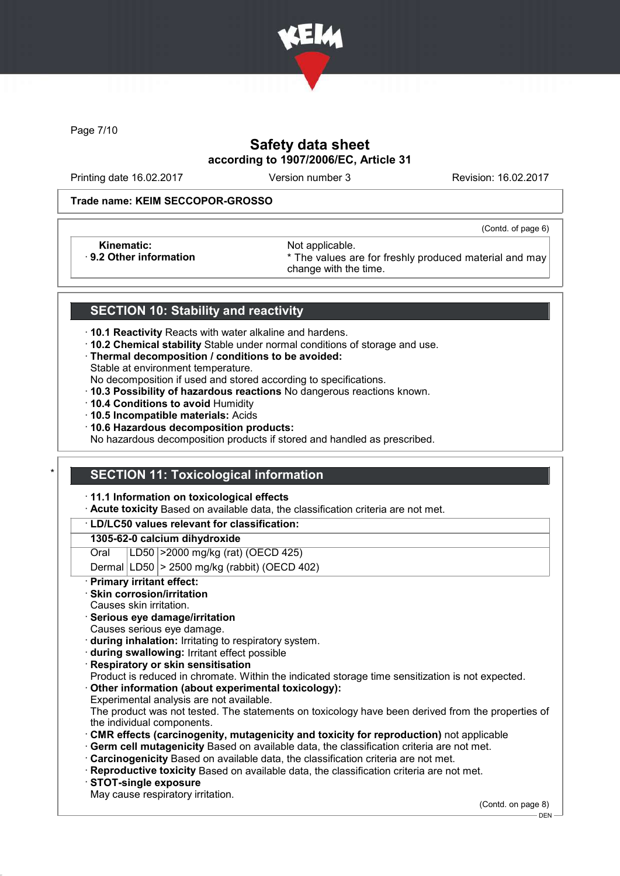

Page 7/10

# Safety data sheet according to 1907/2006/EC, Article 31

Printing date 16.02.2017 Version number 3 Revision: 16.02.2017

(Contd. of page 6)

#### Trade name: KEIM SECCOPOR-GROSSO

Kinematic: Not applicable.<br>
9.2 Other information **Accord 1989** The values are

\* The values are for freshly produced material and may change with the time.

### SECTION 10: Stability and reactivity

- · 10.1 Reactivity Reacts with water alkaline and hardens.
- · 10.2 Chemical stability Stable under normal conditions of storage and use.
- · Thermal decomposition / conditions to be avoided:
- Stable at environment temperature.
- No decomposition if used and stored according to specifications.
- · 10.3 Possibility of hazardous reactions No dangerous reactions known.
- · 10.4 Conditions to avoid Humidity
- · 10.5 Incompatible materials: Acids
- · 10.6 Hazardous decomposition products:

No hazardous decomposition products if stored and handled as prescribed.

### **SECTION 11: Toxicological information**

· 11.1 Information on toxicological effects

· Acute toxicity Based on available data, the classification criteria are not met.

### · LD/LC50 values relevant for classification:

#### 1305-62-0 calcium dihydroxide

Oral LD50 >2000 mg/kg (rat) (OECD 425)

Dermal  $|LD50|$  > 2500 mg/kg (rabbit) (OECD 402)

Primary irritant effect:

### Skin corrosion/irritation

- Causes skin irritation.
- · Serious eye damage/irritation
- Causes serious eye damage.
- · during inhalation: Irritating to respiratory system.
- · during swallowing: Irritant effect possible
- **Respiratory or skin sensitisation**
- Product is reduced in chromate. Within the indicated storage time sensitization is not expected.
- Other information (about experimental toxicology):
- Experimental analysis are not available.

The product was not tested. The statements on toxicology have been derived from the properties of the individual components.

- · CMR effects (carcinogenity, mutagenicity and toxicity for reproduction) not applicable
- Germ cell mutagenicity Based on available data, the classification criteria are not met.
- · Carcinogenicity Based on available data, the classification criteria are not met.
- · Reproductive toxicity Based on available data, the classification criteria are not met.
- · STOT-single exposure
- May cause respiratory irritation.

(Contd. on page 8)

DEN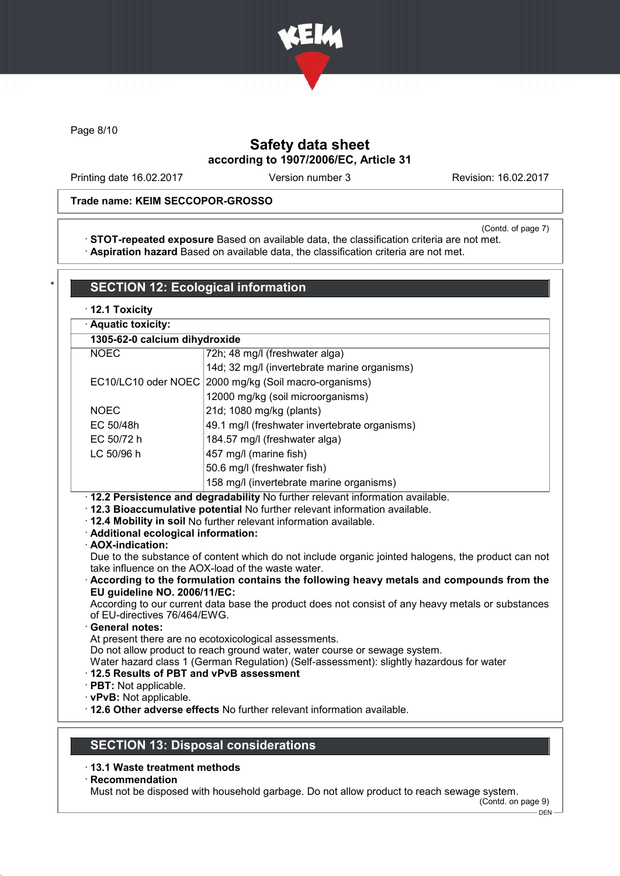

Page 8/10

# Safety data sheet according to 1907/2006/EC, Article 31

Printing date 16.02.2017 Version number 3 Revision: 16.02.2017

### Trade name: KEIM SECCOPOR-GROSSO

(Contd. of page 7)

· STOT-repeated exposure Based on available data, the classification criteria are not met. · Aspiration hazard Based on available data, the classification criteria are not met.

| 1305-62-0 calcium dihydroxide<br><b>NOEC</b>                                          |                                                                                                                                                                                                                                                                                                                                                                                                                                                                                       |
|---------------------------------------------------------------------------------------|---------------------------------------------------------------------------------------------------------------------------------------------------------------------------------------------------------------------------------------------------------------------------------------------------------------------------------------------------------------------------------------------------------------------------------------------------------------------------------------|
|                                                                                       | 72h; 48 mg/l (freshwater alga)                                                                                                                                                                                                                                                                                                                                                                                                                                                        |
|                                                                                       | 14d; 32 mg/l (invertebrate marine organisms)                                                                                                                                                                                                                                                                                                                                                                                                                                          |
| EC10/LC10 oder NOEC                                                                   | 2000 mg/kg (Soil macro-organisms)                                                                                                                                                                                                                                                                                                                                                                                                                                                     |
|                                                                                       | 12000 mg/kg (soil microorganisms)                                                                                                                                                                                                                                                                                                                                                                                                                                                     |
| <b>NOEC</b>                                                                           | 21d; 1080 mg/kg (plants)                                                                                                                                                                                                                                                                                                                                                                                                                                                              |
| EC 50/48h                                                                             | 49.1 mg/l (freshwater invertebrate organisms)                                                                                                                                                                                                                                                                                                                                                                                                                                         |
| EC 50/72 h                                                                            | 184.57 mg/l (freshwater alga)                                                                                                                                                                                                                                                                                                                                                                                                                                                         |
| LC 50/96 h                                                                            | 457 mg/l (marine fish)                                                                                                                                                                                                                                                                                                                                                                                                                                                                |
|                                                                                       | 50.6 mg/l (freshwater fish)                                                                                                                                                                                                                                                                                                                                                                                                                                                           |
|                                                                                       | 158 mg/l (invertebrate marine organisms)                                                                                                                                                                                                                                                                                                                                                                                                                                              |
| · Additional ecological information:<br>· AOX-indication:                             | · 12.2 Persistence and degradability No further relevant information available.<br>· 12.3 Bioaccumulative potential No further relevant information available.<br>. 12.4 Mobility in soil No further relevant information available.<br>Due to the substance of content which do not include organic jointed halogens, the product can not                                                                                                                                            |
| EU guideline NO. 2006/11/EC:<br>of EU-directives 76/464/EWG.<br><b>General notes:</b> | take influence on the AOX-load of the waste water.<br>According to the formulation contains the following heavy metals and compounds from the<br>According to our current data base the product does not consist of any heavy metals or substances<br>At present there are no ecotoxicological assessments.<br>Do not allow product to reach ground water, water course or sewage system.<br>Water hazard class 1 (German Regulation) (Self-assessment): slightly hazardous for water |

- · 13.1 Waste treatment methods
- · Recommendation

Must not be disposed with household garbage. Do not allow product to reach sewage system.

(Contd. on page 9)  $-$  DEN  $-$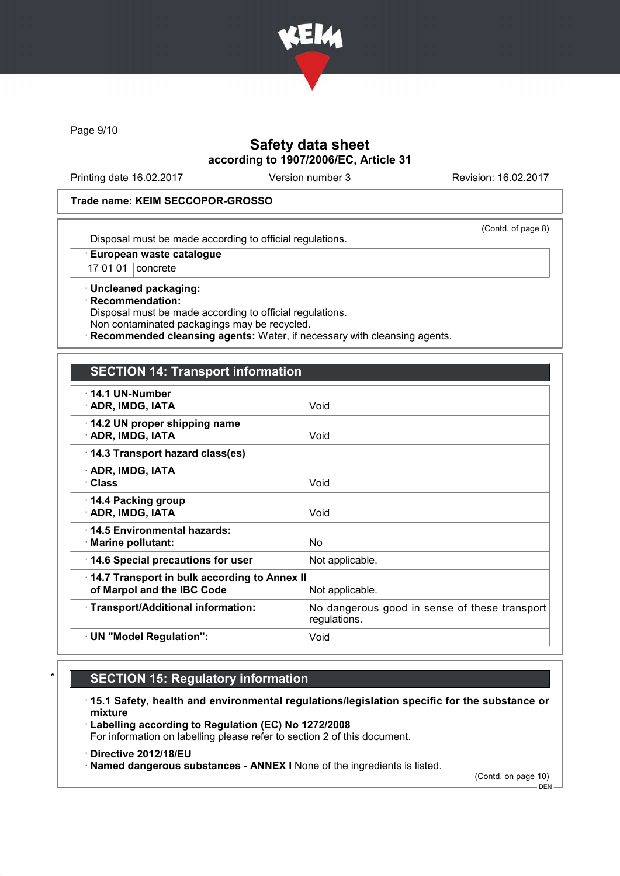

Page 9/10

## Safety data sheet according to 1907/2006/EC, Article 31

Printing date 16.02.2017 Version number 3 Revision: 16.02.2017

### Trade name: KEIM SECCOPOR-GROSSO

(Contd. of page 8)

Disposal must be made according to official regulations.

· European waste catalogue

17 01 01 concrete

· Uncleaned packaging: · Recommendation: Disposal must be made according to official regulations. Non contaminated packagings may be recycled.

Recommended cleansing agents: Water, if necessary with cleansing agents.

## SECTION 14: Transport information

| $\cdot$ 14.1 UN-Number<br>· ADR, IMDG, IATA                                | Void                                                          |
|----------------------------------------------------------------------------|---------------------------------------------------------------|
| 14.2 UN proper shipping name<br>· ADR, IMDG, IATA                          | Void                                                          |
| 14.3 Transport hazard class(es)                                            |                                                               |
| · ADR, IMDG, IATA<br>· Class                                               | Void                                                          |
| ⋅ 14.4 Packing group<br>· ADR, IMDG, IATA                                  | Void                                                          |
| ⋅14.5 Environmental hazards:<br>$\cdot$ Marine pollutant:                  | No.                                                           |
| 14.6 Special precautions for user                                          | Not applicable.                                               |
| 14.7 Transport in bulk according to Annex II<br>of Marpol and the IBC Code | Not applicable.                                               |
| · Transport/Additional information:                                        | No dangerous good in sense of these transport<br>regulations. |
| · UN "Model Regulation":                                                   | Void                                                          |

# **SECTION 15: Regulatory information**

· 15.1 Safety, health and environmental regulations/legislation specific for the substance or mixture

· Labelling according to Regulation (EC) No 1272/2008 For information on labelling please refer to section 2 of this document.

· Directive 2012/18/EU

· Named dangerous substances - ANNEX I None of the ingredients is listed.

(Contd. on page 10)

 $-$  DEN